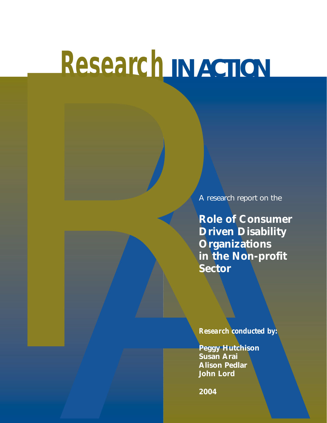# **Research** *IN ACTION*

A research report on the

A research<br>
Role of<br>
Driven<br>
Organi<br>
In the lector<br>
State Research<br>
Preggy Hu<br>
Preggy Hu<br>
Preggy Hu<br>
Preggy Hu<br>
Alhan Det<br>
2004 A research report on the<br>
Role of Consumer<br>
Driven Disability<br>
Organizations<br>
in the Non-profit<br>
Sector<br>
Research conducted by:<br>
Research conducted by:<br>
Peggy Hutchison<br>
Susan Aral<br>
Alison Pedar<br>
2004<br>
2004 **Role of Consumer Driven Disability Organizations in the Non-profit Sector**

*Research conducted by:*

**Peggy Hutchison Susan Arai Alison Pedlar John Lord**

**2004**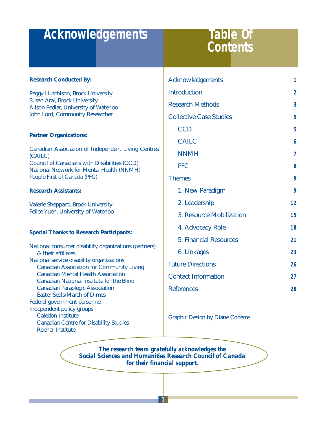## **Acknowledgements**

## **Table Of**

| <b>Research Conducted By:</b>                                                                                                      | Acknowledgements                       | 1              |
|------------------------------------------------------------------------------------------------------------------------------------|----------------------------------------|----------------|
| Peggy Hutchison, Brock University                                                                                                  | <b>Introduction</b>                    | $\overline{2}$ |
| Susan Arai, Brock University<br>Alison Pedlar, University of Waterloo                                                              | <b>Research Methods</b>                | 3              |
| John Lord, Community Researcher                                                                                                    | <b>Collective Case Studies</b>         | 5              |
|                                                                                                                                    | <b>CCD</b>                             | 5              |
| <b>Partner Organizations:</b>                                                                                                      | <b>CAILC</b>                           | 6              |
| <b>Canadian Association of Independent Living Centres</b><br>(CAILC)                                                               | <b>NNMH</b>                            | 7              |
| <b>Council of Canadians with Disabilities (CCD)</b><br>National Network for Mental Health (NNMH)                                   | <b>PFC</b>                             | 8              |
| People First of Canada (PFC)                                                                                                       | <b>Themes</b>                          | 9              |
| <b>Research Assistants:</b>                                                                                                        | 1. New Paradigm                        | 9              |
| Valerie Sheppard, Brock University<br>Felice Yuen, University of Waterloo                                                          | 2. Leadership                          | 12             |
|                                                                                                                                    | 3. Resource Mobilization               | 15             |
|                                                                                                                                    | 4. Advocacy Role                       | 18             |
| <b>Special Thanks to Research Participants:</b>                                                                                    | <b>5. Financial Resources</b>          | 21             |
| National consumer disability organizations (partners)<br>& their affiliates                                                        | 6. Linkages                            | 23             |
| National service disability organizations                                                                                          | <b>Future Directions</b>               | 26             |
| <b>Canadian Association for Community Living</b><br><b>Canadian Mental Health Association</b>                                      | <b>Contact Information</b>             | 27             |
| <b>Canadian National Institute for the Blind</b><br><b>Canadian Paraplegic Association</b>                                         | <b>References</b>                      | 28             |
| <b>Easter Seals/March of Dimes</b><br><b>Federal government personnel</b>                                                          |                                        |                |
| <b>Independent policy groups</b><br><b>Caledon Institute</b><br><b>Canadian Centre for Disability Studies</b><br>Roeher Institute. | <b>Graphic Design by Diane Coderre</b> |                |

*The research team gratefully acknowledges the Social Sciences and Humanities Research Council of Canada for their financial support.*

**1**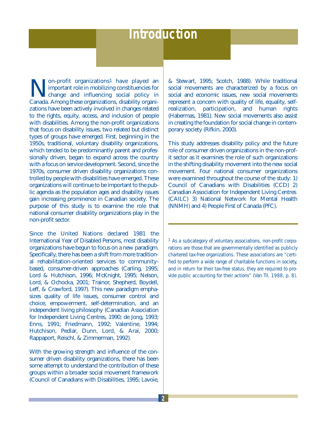## **Introduction**

Non-profit organizations<sup>1</sup> have played an important role in mobilizing constituencies for change and influencing social policy in Canada Among these organizations disability organizations important role in mobilizing constituencies for change and influencing social policy in Canada. Among these organizations, disability organizations have been actively involved in changes related to the rights, equity, access, and inclusion of people with disabilities. Among the non-profit organizations that focus on disability issues, two related but distinct types of groups have emerged. First, beginning in the 1950s, traditional, voluntary disability organizations, which tended to be predominantly parent and professionally driven, began to expand across the country with a focus on service development. Second, since the 1970s, consumer driven disability organizations controlled by people with disabilities have emerged. These organizations will continue to be important to the public agenda as the population ages and disability issues gain increasing prominence in Canadian society. The purpose of this study is to examine the role that national consumer disability organizations play in the non-profit sector.

Since the United Nations declared 1981 the International Year of Disabled Persons, most disability organizations have begun to focus on a new paradigm. Specifically, there has been a shift from more traditional rehabilitation-oriented services to communitybased, consumer-driven approaches (Carling, 1995; Lord & Hutchison, 1996; McKnight, 1995; Nelson, Lord, & Ochocka, 2001; Trainor, Shepherd, Boydell, Leff, & Crawford, 1997). This new paradigm emphasizes quality of life issues, consumer control and choice, empowerment, self-determination, and an independent living philosophy (Canadian Association for Independent Living Centres, 1990; de Jong, 1993; Enns, 1991; Friedmann, 1992; Valentine, 1994; Hutchison, Pedlar, Dunn, Lord, & Arai, 2000; Rappaport, Reischl, & Zimmerman, 1992).

With the growing strength and influence of the consumer driven disability organizations, there has been some attempt to understand the contribution of these groups within a broader social movement framework (Council of Canadians with Disabilities, 1995; Lavoie,

& Stewart, 1995; Scotch, 1988). While traditional social movements are characterized by a focus on social and economic issues, new social movements represent a concern with quality of life, equality, selfrealization, participation, and human rights (Habermas, 1981). New social movements also assist in creating the foundation for social change in contemporary society (Rifkin, 2000).

This study addresses disability policy and the future role of consumer driven organizations in the non-profit sector as it examines the role of such organizations in the shifting disability movement into the new social movement. Four national consumer organizations were examined throughout the course of the study: 1) Council of Canadians with Disabilities (CCD) 2) Canadian Association for Independent Living Centres (CAILC) 3) National Network for Mental Health (NNMH) and 4) People First of Canada (PFC).

1 As a subcategory of voluntary associations, non-profit corporations are those that are governmentally identified as publicly chartered tax-free organizations. These associations are "certified to perform a wide range of charitable functions in society, and in return for their tax-free status, they are required to provide public accounting for their actions" (Van Til, 1988, p. 8).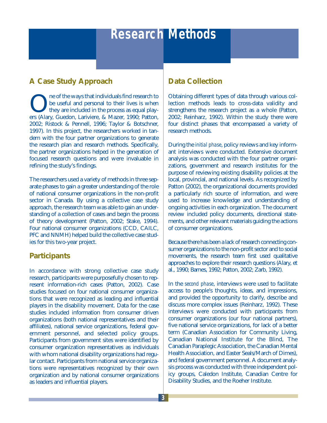## **Research Methods**

#### **A Case Study Approach**

**ONEXE SERVIER IN A SERVIER SERVIER IS ONE ONE OF SAMAGE SERVIER ON THE SERVIER OF SAMAGE SERVIER SERVIER SERVIER SERVIER SERVIER SERVIER SERVIER SERVIER SERVIER SERVIER SERVIER SERVIER SERVIER SERVIER SERVIER SERVIER SERV** be useful and personal to their lives is when they are included in the process as equal players (Alary, Guedon, Lariviere, & Mazer, 1990; Patton, 2002; Ristock & Pennell, 1996; Taylor & Botschner, 1997). In this project, the researchers worked in tandem with the four partner organizations to generate the research plan and research methods. Specifically, the partner organizations helped in the generation of focused research questions and were invaluable in refining the study's findings.

The researchers used a variety of methods in three separate phases to gain a greater understanding of the role of national consumer organizations in the non-profit sector in Canada. By using a collective case study approach, the research team was able to gain an understanding of a collection of cases and begin the process of theory development (Patton, 2002; Stake, 1994). Four national consumer organizations (CCD, CAILC, PFC and NNMH) helped build the collective case studies for this two-year project.

#### **Participants**

In accordance with strong collective case study research, participants were purposefully chosen to represent information-rich cases (Patton, 2002). Case studies focused on four national consumer organizations that were recognized as leading and influential players in the disability movement. Data for the case studies included information from consumer driven organizations (both national representatives and their affiliates), national service organizations, federal government personnel, and selected policy groups. Participants from government sites were identified by consumer organization representatives as individuals with whom national disability organizations had regular contact. Participants from national service organizations were representatives recognized by their own organization and by national consumer organizations as leaders and influential players.

#### **Data Collection**

Obtaining different types of data through various collection methods leads to cross-data validity and strengthens the research project as a whole (Patton, 2002; Reinharz, 1992). Within the study there were four distinct phases that encompassed a variety of research methods.

During the *initial phase*, policy reviews and key informant interviews were conducted. Extensive document analysis was conducted with the four partner organizations, government and research institutes for the purpose of reviewing existing disability policies at the local, provincial, and national levels. As recognized by Patton (2002), the organizational documents provided a particularly rich source of information, and were used to increase knowledge and understanding of ongoing activities in each organization. The document review included policy documents, directional statements, and other relevant materials guiding the actions of consumer organizations.

Because there has been a lack of research connecting consumer organizations to the non-profit sector and to social movements, the research team first used qualitative approaches to explore their research questions (Alary, et al., 1990; Barnes, 1992; Patton, 2002; Zarb, 1992).

In the *second phase*, interviews were used to facilitate access to people's thoughts, ideas, and impressions, and provided the opportunity to clarify, describe and discuss more complex issues (Reinharz, 1992). These interviews were conducted with participants from consumer organizations (our four national partners), five national service organizations, for lack of a better term (Canadian Association for Community Living, Canadian National Institute for the Blind, The Canadian Paraplegic Association, the Canadian Mental Health Association, and Easter Seals/March of Dimes), and federal government personnel. A document analysis process was conducted with three independent policy groups, Caledon Institute, Canadian Centre for Disability Studies, and the Roeher Institute.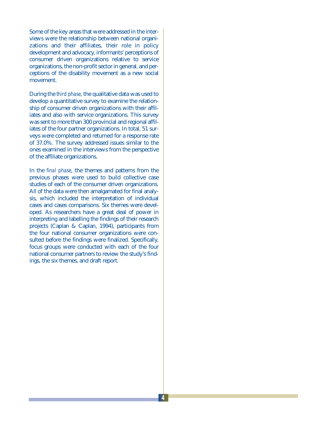Some of the key areas that were addressed in the interviews were the relationship between national organizations and their affiliates, their role in policy development and advocacy, informants' perceptions of consumer driven organizations relative to service organizations, the non-profit sector in general, and perceptions of the disability movement as a new social movement.

During the *third phase*, the qualitative data was used to develop a quantitative survey to examine the relationship of consumer driven organizations with their affiliates and also with service organizations. This survey was sent to more than 300 provincial and regional affiliates of the four partner organizations. In total, 51 surveys were completed and returned for a response rate of 37.0%. The survey addressed issues similar to the ones examined in the interviews from the perspective of the affiliate organizations.

In the *final phase*, the themes and patterns from the previous phases were used to build collective case studies of each of the consumer driven organizations. All of the data were then amalgamated for final analysis, which included the interpretation of individual cases and cases comparisons. Six themes were developed. As researchers have a great deal of power in interpreting and labelling the findings of their research projects (Caplan & Caplan, 1994), participants from the four national consumer organizations were consulted before the findings were finalized. Specifically, focus groups were conducted with each of the four national consumer partners to review the study's findings, the six themes, and draft report.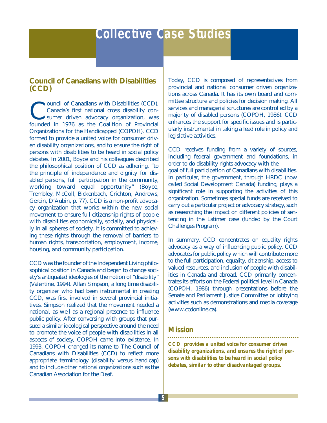#### **Council of Canadians with Disabilities (CCD)**

Council of Canadians with Disabilities (CCD),<br>Canada's first national cross disability consumer driven advocacy organization, was<br>founded in 1976 as the Coalition of Provincial Canada's first national cross disability consumer driven advocacy organization, was founded in 1976 as the Coalition of Provincial Organizations for the Handicapped (COPOH). CCD formed to provide a united voice for consumer driven disability organizations, and to ensure the right of persons with disabilities to be heard in social policy debates. In 2001, Boyce and his colleagues described the philosophical position of CCD as adhering, "to the principle of independence and dignity for disabled persons, full participation in the community, working toward equal opportunity" (Boyce, Trembley, McColl, Bickenbach, Crichton, Andrews, Gerein, D'Aubin, p. 77). CCD is a non-profit advocacy organization that works within the new social movement to ensure full citizenship rights of people with disabilities economically, socially, and physically in all spheres of society. It is committed to achieving these rights through the removal of barriers to human rights, transportation, employment, income, housing, and community participation.

CCD was the founder of the Independent Living philosophical position in Canada and began to change society's antiquated ideologies of the notion of "disability" (Valentine, 1994). Allan Simpson, a long time disability organizer who had been instrumental in creating CCD, was first involved in several provincial initiatives. Simpson realized that the movement needed a national, as well as a regional presence to influence public policy. After conversing with groups that pursued a similar ideological perspective around the need to promote the voice of people with disabilities in all aspects of society, COPOH came into existence. In 1993, COPOH changed its name to The Council of Canadians with Disabilities (CCD) to reflect more appropriate terminology (disability versus handicap) and to include other national organizations such as the Canadian Association for the Deaf.

Today, CCD is composed of representatives from provincial and national consumer driven organizations across Canada. It has its own board and committee structure and policies for decision making. All services and managerial structures are controlled by a majority of disabled persons (COPOH, 1986). CCD enhances the support for specific issues and is particularly instrumental in taking a lead role in policy and legislative activities.

CCD receives funding from a variety of sources, including federal government and foundations, in order to do disability rights advocacy with the goal of full participation of Canadians with disabilities. In particular, the government, through HRDC (now called Social Development Canada) funding, plays a significant role in supporting the activities of this organization. Sometimes special funds are received to carry out a particular project or advocacy strategy, such as researching the impact on different policies of sentencing in the Latimer case (funded by the Court Challenges Program).

In summary, CCD concentrates on equality rights advocacy as a way of influencing public policy. CCD advocates for public policy which will contribute more to the full participation, equality, citizenship, access to valued resources, and inclusion of people with disabilities in Canada and abroad. CCD primarily concentrates its efforts on the Federal political level in Canada (COPOH, 1986) through presentations before the Senate and Parliament Justice Committee or lobbying activities such as demonstrations and media coverage (www.ccdonline.ca).

#### *Mission*

*CCD provides a united voice for consumer driven disability organizations, and ensures the right of persons with disabilities to be heard in social policy debates, similar to other disadvantaged groups.*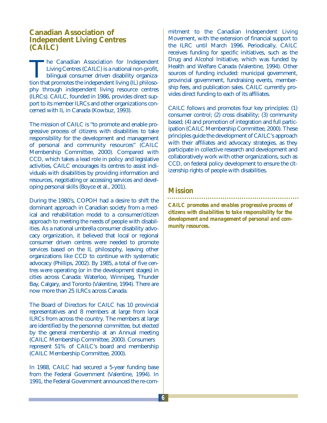#### **Canadian Association of Independent Living Centres (CAILC)**

The Canadian Association for Independent<br>Living Centres (CAILC) is a national non-profit,<br>bilingual consumer driven disability organiza-<br>tion that promotes the independent living (IL) philoso-Living Centres (CAILC) is a national non-profit, bilingual consumer driven disability organization that promotes the independent living (IL) philosophy through independent living resource centres (ILRCs). CAILC, founded in 1986, provides direct support to its member ILRCs and other organizations concerned with IL in Canada (Kowbuz, 1993).

The mission of CAILC is "to promote and enable progressive process of citizens with disabilities to take responsibility for the development and management of personal and community resources" (CAILC Membership Committee, 2000). Compared with CCD, which takes a lead role in policy and legislative activities, CAILC encourages its centres to assist individuals with disabilities by providing information and resources, negotiating or accessing services and developing personal skills (Boyce et al., 2001).

During the 1980's, COPOH had a desire to shift the dominant approach in Canadian society from a medical and rehabilitation model to a consumer/citizen approach to meeting the needs of people with disabilities. As a national umbrella consumer disability advocacy organization, it believed that local or regional consumer driven centres were needed to promote services based on the IL philosophy, leaving other organizations like CCD to continue with systematic advocacy (Phillips, 2002). By 1985, a total of five centres were operating (or in the development stages) in cities across Canada: Waterloo, Winnipeg, Thunder Bay, Calgary, and Toronto (Valentine, 1994). There are now more than 25 ILRCs across Canada.

The Board of Directors for CAILC has 10 provincial representatives and 8 members at large from local ILRCs from across the country. The members at large are identified by the personnel committee, but elected by the general membership at an Annual meeting (CAILC Membership Committee, 2000). Consumers represent 51% of CAILC's board and membership (CAILC Membership Committee, 2000).

In 1988, CAILC had secured a 5-year funding base from the Federal Government (Valentine, 1994). In 1991, the Federal Government announced the re-com-

mitment to the Canadian Independent Living Movement, with the extension of financial support to the ILRC until March 1996. Periodically, CAILC receives funding for specific initiatives, such as the Drug and Alcohol Initiative, which was funded by Health and Welfare Canada (Valentine, 1994). Other sources of funding included: municipal government, provincial government, fundraising events, membership fees, and publication sales. CAILC currently provides direct funding to each of its affiliates.

CAILC follows and promotes four key principles: (1) consumer control; (2) cross disability; (3) community based; (4) and promotion of integration and full participation (CAILC Membership Committee, 2000). These principles guide the development of CAILC's approach with their affiliates and advocacy strategies, as they participate in collective research and development and collaboratively work with other organizations, such as CCD, on federal policy development to ensure the citizenship rights of people with disabilities.

#### *Mission*

*CAILC promotes and enables progressive process of citizens with disabilities to take responsibility for the development and management of personal and community resources.*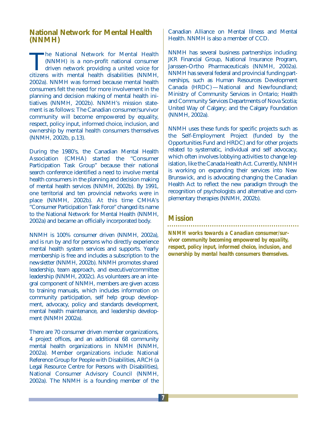#### **National Network for Mental Health (NNMH)**

The National Network for Mental Health<br>(NNMH) is a non-profit national consumer<br>driven network providing a united voice for<br>citizens with mental health disabilities (NNMH) (NNMH) is a non-profit national consumer driven network providing a united voice for citizens with mental health disabilities (NNMH, 2002a). NNMH was formed because mental health consumers felt the need for more involvement in the planning and decision making of mental health initiatives (NNMH, 2002b). NNMH's mission statement is as follows: The Canadian consumer/survivor community will become empowered by equality, respect, policy input, informed choice, inclusion, and ownership by mental health consumers themselves (NNMH, 2002b, p.13).

During the 1980's, the Canadian Mental Health Association (CMHA) started the "Consumer Participation Task Group" because their national search conference identified a need to involve mental health consumers in the planning and decision making of mental health services (NNMH, 2002b). By 1991, one territorial and ten provincial networks were in place (NNMH, 2002b). At this time CMHA's "Consumer Participation Task Force" changed its name to the National Network for Mental Health (NNMH, 2002a) and became an officially incorporated body.

NNMH is 100% consumer driven (NNMH, 2002a), and is run by and for persons who directly experience mental health system services and supports. Yearly membership is free and includes a subscription to the newsletter (NNMH, 2002b). NNMH promotes shared leadership, team approach, and executive/committee leadership (NNMH, 2002c). As volunteers are an integral component of NNMH, members are given access to training manuals, which includes information on community participation, self help group development, advocacy, policy and standards development, mental health maintenance, and leadership development (NNMH 2002a).

There are 70 consumer driven member organizations, 4 project offices, and an additional 68 community mental health organizations in NNMH (NNMH, 2002a). Member organizations include: National Reference Group for People with Disabilities, ARCH (a Legal Resource Centre for Persons with Disabilities), National Consumer Advisory Council (NNMH, 2002a). The NNMH is a founding member of the

Canadian Alliance on Mental Illness and Mental Health. NNMH is also a member of CCD.

NNMH has several business partnerships including: JKR Financial Group, National Insurance Program, Janssen-Ortho Pharmaceuticals (NNMH, 2002a). NNMH has several federal and provincial funding partnerships, such as Human Resources Development Canada (HRDC) — National and Newfoundland; Ministry of Community Services in Ontario; Health and Community Services Departments of Nova Scotia; United Way of Calgary; and the Calgary Foundation (NNMH, 2002a).

NNMH uses these funds for specific projects such as the Self-Employment Project (funded by the Opportunities Fund and HRDC) and for other projects related to systematic, individual and self advocacy, which often involves lobbying activities to change legislation, like the Canada Health Act. Currently, NNMH is working on expanding their services into New Brunswick, and is advocating changing the Canadian Health Act to reflect the new paradigm through the recognition of psychologists and alternative and complementary therapies (NNMH, 2002b).

### *Mission*

*NNMH works towards a Canadian consumer/survivor community becoming empowered by equality, respect, policy input, informed choice, inclusion, and ownership by mental health consumers themselves.*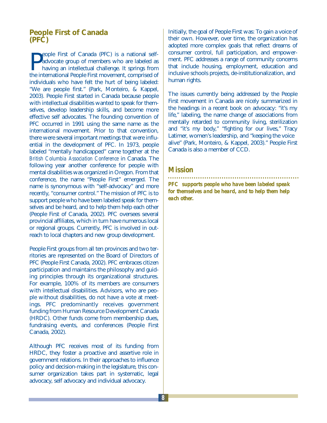#### **People First of Canada (PFC)**

**P**eople First of Canada (PFC) is a national self-<br>advocate group of members who are labeled as<br>having an intellectual challenge. It springs from<br>the international People First movement, comprised of eople First of Canada (PFC) is a national selfadvocate group of members who are labeled as having an intellectual challenge. It springs from individuals who have felt the hurt of being labeled: "We are people first." (Park, Monteiro, & Kappel, 2003). People First started in Canada because people with intellectual disabilities wanted to speak for themselves, develop leadership skills, and become more effective self advocates. The founding convention of PFC occurred in 1991 using the same name as the international movement. Prior to that convention, there were several important meetings that were influential in the development of PFC. In 1973, people labeled "mentally handicapped" came together at the *British Columbia Association Conference* in Canada. The following year another conference for people with mental disabilities was organized in Oregon. From that conference, the name "People First" emerged. The name is synonymous with "self-advocacy" and more recently, "consumer control." The mission of PFC is to support people who have been labeled speak for themselves and be heard, and to help them help each other (People First of Canada, 2002). PFC oversees several provincial affiliates, which in turn have numerous local or regional groups. Currently, PFC is involved in outreach to local chapters and new group development.

People First groups from all ten provinces and two territories are represented on the Board of Directors of PFC (People First Canada, 2002). PFC embraces citizen participation and maintains the philosophy and guiding principles through its organizational structures. For example, 100% of its members are consumers with intellectual disabilities. Advisors, who are people without disabilities, do not have a vote at meetings. PFC predominantly receives government funding from Human Resource Development Canada (HRDC). Other funds come from membership dues, fundraising events, and conferences (People First Canada, 2002).

Although PFC receives most of its funding from HRDC, they foster a proactive and assertive role in government relations. In their approaches to influence policy and decision-making in the legislature, this consumer organization takes part in systematic, legal advocacy, self advocacy and individual advocacy.

Initially, the goal of People First was: To gain a voice of their own. However, over time, the organization has adopted more complex goals that reflect dreams of consumer control, full participation, and empowerment. PFC addresses a range of community concerns that include housing, employment, education and inclusive schools projects, de-institutionalization, and human rights.

The issues currently being addressed by the People First movement in Canada are nicely summarized in the headings in a recent book on advocacy: "it's my life," labeling, the name change of associations from mentally retarded to community living, sterilization and "it's my body," "fighting for our lives," Tracy Latimer, women's leadership, and "keeping the voice alive" (Park, Monteiro, & Kappel, 2003)." People First Canada is also a member of CCD.

#### *Mission*

*PFC supports people who have been labeled speak for themselves and be heard, and to help them help each other.*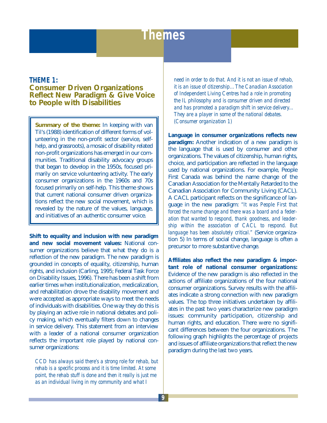## **Themes**

#### **THEME 1: Consumer Driven Organizations Reflect New Paradigm & Give Voice to People with Disabilities**

**Summary of the theme:** In keeping with van Til's (1988) identification of different forms of volunteering in the non-profit sector (service, selfhelp, and grassroots), a mosaic of disability related non-profit organizations has emerged in our communities. Traditional disability advocacy groups that began to develop in the 1950s, focused primarily on service volunteering activity. The early consumer organizations in the 1960s and 70s focused primarily on self-help. This theme shows that current national consumer driven organizations reflect the new social movement, which is revealed by the nature of the values, language, and initiatives of an authentic consumer voice.

**Shift to equality and inclusion with new paradigm and new social movement values:** National consumer organizations believe that what they do is a reflection of the new paradigm. The new paradigm is grounded in concepts of equality, citizenship, human rights, and inclusion (Carling, 1995; Federal Task Force on Disability Issues, 1996). There has been a shift from earlier times when institutionalization, medicalization, and rehabilitation drove the disability movement and were accepted as appropriate ways to meet the needs of individuals with disabilities. One way they do this is by playing an active role in national debates and policy making, which eventually filters down to changes in service delivery. This statement from an interview with a leader of a national consumer organization reflects the important role played by national consumer organizations:

*CCD has always said there's a strong role for rehab, but rehab is a specific process and it is time limited. At some point, the rehab stuff is done and then it really is just me as an individual living in my community and what I*

*need in order to do that. And it is not an issue of rehab, it is an issue of citizenship…The Canadian Association of Independent Living Centres had a role in promoting the IL philosophy and is consumer driven and directed and has promoted a paradigm shift in service delivery... They are a player in some of the national debates. (Consumer organization 1)*

**Language in consumer organizations reflects new paradigm:** Another indication of a new paradigm is the language that is used by consumer and other organizations. The values of citizenship, human rights, choice, and participation are reflected in the language used by national organizations. For example, People First Canada was behind the name change of the Canadian Association for the Mentally Retarded to the Canadian Association for Community Living (CACL). A CACL participant reflects on the significance of language in the new paradigm: *"It was People First that forced the name change and there was a board and a federation that wanted to respond, thank goodness, and leadership within the association of CACL to respond. But language has been absolutely critical."* (Service organization 5) In terms of social change, language is often a precursor to more substantive change.

**Affiliates also reflect the new paradigm & important role of national consumer organizations:** Evidence of the new paradigm is also reflected in the actions of affiliate organizations of the four national consumer organizations. Survey results with the affiliates indicate a strong connection with new paradigm values. The top three initiatives undertaken by affiliates in the past two years characterize new paradigm issues: community participation, citizenship and human rights, and education. There were no significant differences between the four organizations. The following graph highlights the percentage of projects and issues of affiliate organizations that reflect the new paradigm during the last two years.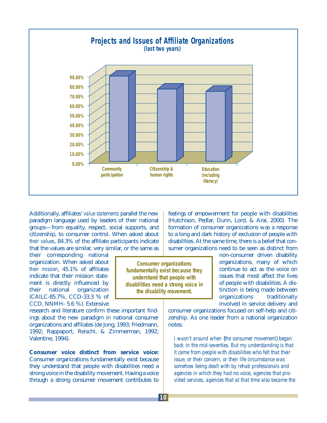

Additionally, affiliates' *value statements* parallel the new paradigm language used by leaders of their national groups—from equality, respect, social supports, and citizenship, to consumer control. When asked about *their values*, 84.3% of the affiliate participants indicate that the values are similar, very similar, or the same as

their corresponding national organization. When asked about *their mission*, 45.1% of affiliates indicate that their mission statement is directly influenced by their national organization (CAILC-85.7%, CCD-33.3 % of CCD, NNMH- 5.6 %). Extensive

research and literature confirm these important findings about the new paradigm in national consumer organizations and affiliates (de Jong, 1993; Friedmann, 1992; Rappaport, Reischl, & Zimmerman, 1992; Valentine, 1994).

**Consumer voice distinct from service voice:** Consumer organizations fundamentally exist because they understand that people with disabilities need a strong voice in the disability movement. Having a voice through a strong consumer movement contributes to

feelings of empowerment for people with disabilities (Hutchison, Pedlar, Dunn, Lord, & Arai, 2000). The formation of consumer organizations was a response to a long and dark history of exclusion of people with disabilities. At the same time, there is a belief that consumer organizations need to be seen as distinct from

non-consumer driven disability organizations, many of which continue to act as the voice on issues that most affect the lives of people with disabilities. A distinction is being made between organizations traditionally involved in service delivery and

consumer organizations focused on self-help and citizenship. As one leader from a national organization notes:

*I wasn't around when {the consumer movement} began back in the mid-seventies. But my understanding is that it came from people with disabilities who felt that their issue, or their concern, or their life circumstance was somehow being dealt with by rehab professionals and agencies in which they had no voice, agencies that provided services, agencies that at that time also became the*

**Consumer organizations fundamentally exist because they understand that people with disabilities need a strong voice in the disability movement.**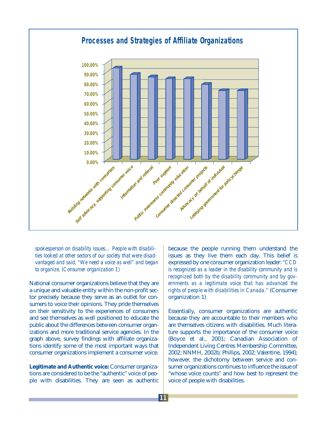

*spokesperson on disability issues… People with disabilities looked at other sectors of our society that were disadvantaged and said, "We need a voice as well" and began to organize. (Consumer organization 1)*

National consumer organizations believe that they are a unique and valuable entity within the non-profit sector precisely because they serve as an outlet for consumers to voice their opinions. They pride themselves on their sensitivity to the experiences of consumers and see themselves as well positioned to educate the public about the differences between consumer organizations and more traditional service agencies. In the graph above, survey findings with affiliate organizations identify some of the most important ways that consumer organizations implement a consumer voice.

**Legitimate and Authentic voice:** Consumer organizations are considered to be the "authentic" voice of people with disabilities. They are seen as authentic because the people running them understand the issues as they live them each day. This belief is expressed by one consumer organization leader: *"CCD is recognized as a leader in the disability community and is recognized both by the disability community and by governments as a legitimate voice that has advanced the rights of people with disabilities in Canada."* (Consumer organization 1)

Essentially, consumer organizations are authentic because they are accountable to their members who are themselves citizens with disabilities. Much literature supports the importance of the consumer voice (Boyce et al., 2001; Canadian Association of Independent Living Centres Membership Committee, 2002; NNMH, 2002b; Phillips, 2002; Valentine, 1994); however, the dichotomy between service and consumer organizations continues to influence the issue of "whose voice counts" and how best to represent the voice of people with disabilities.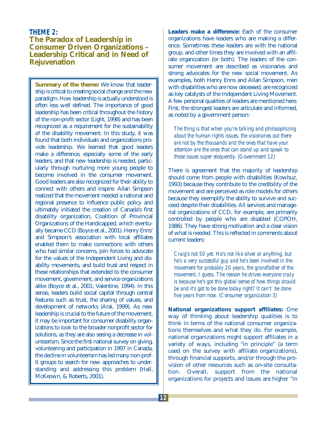#### **THEME 2: The Paradox of Leadership in Consumer Driven Organizations – Leadership Critical and in Need of Rejuvenation**

**Summary of the theme:** We know that leadership is critical to creating social change and the new paradigm. How leadership is actually understood is often less well defined. The importance of good leadership has been critical throughout the history of the non-profit sector (Light, 1998) and has been recognized as a requirement for the sustainability of the disability movement. In this study, it was found that both individuals and organizations provide leadership. We learned that good leaders make a difference, especially some of the early leaders; and that new leadership is needed, particularly through nurturing more young people to become involved in the consumer movement. Good leaders are also recognized for their ability to connect with others and inspire. Allan Simpson realized that the movement needed a national and regional presence to influence public policy and ultimately initiated the creation of Canada's first disability organization, Coalition of Provincial Organizations of the Handicapped, which eventually became CCD (Boyce et al., 2001). Henry Enns' and Simpson's association with local affiliates enabled them to make connections with others who had similar concerns, join forces to advocate for the values of the Independent Living and disability movements, and build trust and respect in these relationships that extended to the consumer movement, government, and service organizations alike (Boyce et al., 2001; Valentine, 1994). In this sense, leaders build social capital through central features such as trust, the sharing of values, and development of networks (Arai, 1999). As new leadership is crucial to the future of the movement, it may be important for consumer disability organizations to look to the broader nonprofit sector for solutions, as they are also seeing a decrease in volunteerism. Since the first national survey on giving, volunteering and participation in 1997 in Canada, the decline in volunteerism has led many non-profit groups to search for new approaches to understanding and addressing this problem (Hall, McKeown, & Roberts, 2001).

**Leaders make a difference:** Each of the consumer organizations have leaders who are making a difference. Sometimes these leaders are with the national group, and other times they are involved with an affiliate organization (or both). The leaders of the consumer movement are described as visionaries and strong advocates for the new social movement. As examples, both Henry Enns and Allan Simpson, men with disabilities who are now deceased, are recognized as key catalysts of the Independent Living Movement. A few personal qualities of leaders are mentioned here. First, the strongest leaders are articulate and informed, as noted by a government person:

*The thing is that when you're talking and philosophizing about the human rights issues, the visionaries out there are not by the thousands and the ones that have your attention are the ones that can stand up and speak to those issues super eloquently. (Government 12)*

There is agreement that the majority of leadership should come from people with disabilities (Kowbuz, 1993) because they contribute to the credibility of the movement and are perceived as role models for others because they exemplify the ability to survive and succeed despite their disabilities. All services and managerial organizations of CCD, for example, are primarily controlled by people who are disabled (COPOH, 1986). They have strong motivation and a clear vision of what is needed. This is reflected in comments about current leaders:

*Craig's not 50 yet. He's not like silver or anything, but he's a very successful guy and he's been involved in the movement for probably 20 years, the grandfather of the movement, I guess. The reason he drives everyone crazy is because he's got this global sense of how things should be and it's got to be done today right? It can't be done five years from now. (Consumer organization 3)* 

**National organizations support affiliates:** One way of thinking about leadership qualities is to think in terms of the national consumer organizations themselves and what they do. For example, national organizations might support affiliates in a variety of ways, including "in principle" (a term used on the survey with affiliate organizations), through financial supports, and/or through the provision of other resources such as on-site consultation. Overall, support from the national organizations for projects and issues are higher "in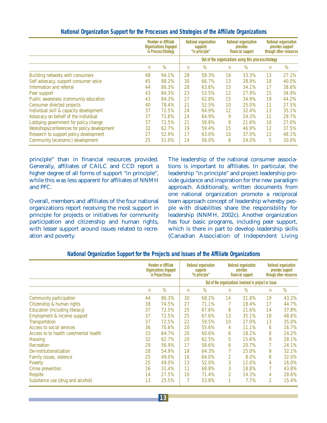|                                              | <b>Member or Affiliate</b><br><b>Organizations Engaged</b><br>in Process/Strategy |       | National organization<br>supports<br>"in principle"  |       | National organization<br>provides<br>financial support |       | National organization<br>provides support<br>through other resources |       |
|----------------------------------------------|-----------------------------------------------------------------------------------|-------|------------------------------------------------------|-------|--------------------------------------------------------|-------|----------------------------------------------------------------------|-------|
|                                              |                                                                                   |       | Out of the organizations using this process/strategy |       |                                                        |       |                                                                      |       |
|                                              | n                                                                                 | %     | n                                                    | $\%$  | n                                                      | $\%$  | n                                                                    | $\%$  |
| Building networks with consumers             | 48                                                                                | 94.1% | 28                                                   | 58.3% | 16                                                     | 33.3% | 13                                                                   | 27.1% |
| Self advocacy, support consumer voice        | 45                                                                                | 88.2% | 30                                                   | 66.7% | 13                                                     | 28.9% | 18                                                                   | 40.0% |
| Information and referral                     | 44                                                                                | 86.3% | 28                                                   | 63.6% | 15                                                     | 34.1% | 17                                                                   | 38.6% |
| Peer support                                 | 43                                                                                | 84.3% | 23                                                   | 53.5% | 12                                                     | 27.9% | 15                                                                   | 34.9% |
| Public awareness /community education        | 43                                                                                | 84.3% | 27                                                   | 62.8% | 15                                                     | 34.9% | 19                                                                   | 44.2% |
| Consumer directed projects                   | 40                                                                                | 78.4% | 21                                                   | 52.5% | 10                                                     | 25.0% | 11                                                                   | 27.5% |
| Individual skill & capacity development      | 37                                                                                | 72.5% | 24                                                   | 64.9% | 12                                                     | 32.4% | 13                                                                   | 35.1% |
| Advocacy on behalf of the individual         | 37                                                                                | 72.6% | 24                                                   | 64.9% | 9                                                      | 24.3% | 11                                                                   | 29.7% |
| Lobbying government for policy change        | 37                                                                                | 72.5% | 21                                                   | 56.8% | 8                                                      | 21.6% | 10                                                                   | 27.0% |
| Workshops/conferences for policy development | 32                                                                                | 62.7% | 19                                                   | 59.4% | 15                                                     | 46.9% | 12                                                                   | 37.5% |
| Research to support policy development       | 27                                                                                | 52.9% | 17                                                   | 63.0% | 10                                                     | 37.0% | 13                                                                   | 48.1% |
| Community (economic) development             | 25                                                                                | 51.0% | 14                                                   | 56.0% | 6                                                      | 24.0% | 5                                                                    | 20.0% |

#### **National Organization Support for the Processes and Strategies of the Affiliate Organizations**

principle" than in financial resources provided. Generally, affiliates of CAILC and CCD report a higher degree of all forms of support "in principle", while this was less apparent for affiliates of NNMH and PFC.

Overall, members and affiliates of the four national organizations report receiving the most support in principle for projects or initiatives for community participation and citizenship and human rights, with lesser support around issues related to recreation and poverty.

The leadership of the national consumer associations is important to affiliates. In particular, the leadership "in principle" and project leadership provide guidance and inspiration for the new paradigm approach. Additionally, written documents from one national organization promote a reciprocal team approach concept of leadership whereby people with disabilities share the responsibility for leadership (NNMH, 2002c). Another organization has four basic programs, including peer support, which is there in part to develop leadership skills (Canadian Association of Independent Living

|                                        |                | <b>Member or Affiliate</b><br><b>Organizations Engaged</b><br>in Project/Issue |                                                       | National organization<br>supports<br>"in principle" |                | National organization<br>provides<br>financial support |                | National organization<br>provides support<br>through other resources |  |
|----------------------------------------|----------------|--------------------------------------------------------------------------------|-------------------------------------------------------|-----------------------------------------------------|----------------|--------------------------------------------------------|----------------|----------------------------------------------------------------------|--|
|                                        |                |                                                                                | Out of the organizations involved in project or issue |                                                     |                |                                                        |                |                                                                      |  |
|                                        | $\overline{n}$ | %                                                                              | $\mathsf{n}$                                          | %                                                   | n              | %                                                      | n              | $\%$                                                                 |  |
| Community participation                | 44             | 86.3%                                                                          | 30                                                    | 68.2%                                               | 14             | 31.8%                                                  | 19             | 43.2%                                                                |  |
| Citizenship & human rights             | 38             | 74.5%                                                                          | 27                                                    | 71.1%                                               |                | 18.4%                                                  | 17             | 44.7%                                                                |  |
| Education (including literacy)         | 37             | 72.5%                                                                          | 25                                                    | 67.6%                                               | 8              | 21.6%                                                  | 14             | 37.8%                                                                |  |
| Employment & income support            | 37             | 72.5%                                                                          | 25                                                    | 67.6%                                               | 13             | 35.1%                                                  | 18             | 48.6%                                                                |  |
| Transportation                         | 37             | 72.5%                                                                          | 22                                                    | 59.5%                                               | 10             | 27.0%                                                  | 13             | 35.0%                                                                |  |
| Access to social services              | 36             | 70.6%                                                                          | 20                                                    | 55.6%                                               | 4              | 11.1%                                                  | 6              | 16.7%                                                                |  |
| Access to to health care/mental health | 33             | 64.7%                                                                          | 20                                                    | 60.6%                                               | 6              | 18.2%                                                  | 8              | 24.2%                                                                |  |
| Housing                                | 32             | 62.7%                                                                          | 20                                                    | 62.5%                                               | 5              | 15.6%                                                  | 9              | 28.1%                                                                |  |
| Recreation                             | 29             | 56.9%                                                                          | 17                                                    | 58.6%                                               | 6              | 20.7%                                                  |                | 24.1%                                                                |  |
| De-institutionalization                | 28             | 54.9%                                                                          | 18                                                    | 64.3%                                               |                | 25.0%                                                  | 9              | 32.1%                                                                |  |
| Family issues, violence                | 25             | 49.0%                                                                          | 16                                                    | 64.0%                                               | 2              | 8.0%                                                   | 8              | 32.0%                                                                |  |
| Poverty                                | 25             | 49.0%                                                                          | 13                                                    | 52.0%                                               | 3              | 12.0%                                                  | 4              | 16.0%                                                                |  |
| Crime prevention                       | 16             | 31.4%                                                                          | 11                                                    | 68.8%                                               | 3              | 18.8%                                                  |                | 43.8%                                                                |  |
| Respite                                | 14             | 27.5%                                                                          | 10                                                    | 71.4%                                               | $\overline{2}$ | 14.3%                                                  | 4              | 28.6%                                                                |  |
| Substance use (drug and alcohol)       | 13             | 25.5%                                                                          |                                                       | 53.8%                                               |                | 7.7%                                                   | $\overline{2}$ | 15.4%                                                                |  |

#### **National Organization Support for the Projects and Issues of the Affiliate Organizations**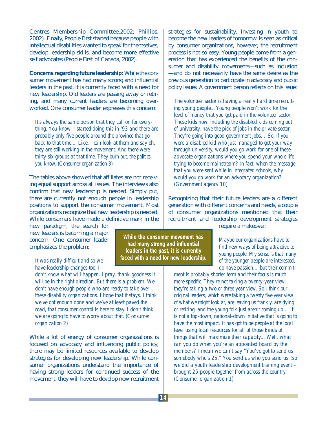Centres Membership Committee,2002; Phillips, 2002). Finally, People First started because people with intellectual disabilities wanted to speak for themselves, develop leadership skills, and become more effective self advocates (People First of Canada, 2002).

**Concerns regarding future leadership:** While the consumer movement has had many strong and influential leaders in the past, it is currently faced with a need for new leadership. Old leaders are passing away or retiring, and many current leaders are becoming overworked. One consumer leader expresses this concern:

*It's always the same person that they call on for everything. You know, I started doing this in '93 and there are probably only five people around the province that go back to that time… Like, I can look at them and say oh, they are still working in the movement. And there were thirty-six groups at that time. They burn out, the politics, you know. (Consumer organization 3)*

The tables above showed that affiliates are not receiving equal support across all issues. The interviews also confirm that new leadership is needed. Simply put, there are currently not enough people in leadership positions to support the consumer movement. Most organizations recognize that new leadership is needed. While consumers have made a definitive mark in the

new paradigm, the search for new leaders is becoming a major concern. One consumer leader emphasizes the problem:

*It was really difficult and so we have leadership changes too. I*

*don't know what will happen. I pray, thank goodness it will be in the right direction. But there is a problem. We don't have enough people who are ready to take over these disability organizations. I hope that it stays. I think we've got enough done and we've at least paved the road, that consumer control is here to stay. I don't think we are going to have to worry about that. (Consumer organization 2)*

While a lot of energy of consumer organizations is focused on advocacy and influencing public policy, there may be limited resources available to develop strategies for developing new leadership. While consumer organizations understand the importance of having strong leaders for continued success of the movement, they will have to develop new recruitment

strategies for sustainability. Investing in youth to become the new leaders of tomorrow is seen as critical by consumer organizations, however, the recruitment process is not so easy. Young people come from a generation that has experienced the benefits of the consumer and disability movements—such as inclusion —and do not necessarily have the same desire as the previous generation to participate in advocacy and public policy issues. A government person reflects on this issue:

*The volunteer sector is having a really hard time recruiting young people…Young people won't work for the level of money that you get paid in the volunteer sector. These kids now, including the disabled kids coming out of university, have the pick of jobs in the private sector. They're going into good government jobs… So, if you were a disabled kid who just managed to get your way through university, would you go work for one of these advocate organizations where you spend your whole life trying to become mainstream? In fact, when the message that you were sent while in integrated schools, why would you go work for an advocacy organization? (Government agency 10)*

Recognizing that their future leaders are a different generation with different concerns and needs, a couple of consumer organizations mentioned that their recruitment and leadership development strategies require a makeover:

**While the consumer movement has had many strong and influential leaders in the past, it is currently**

**faced with a need for new leadership.**

*Maybe our organizations have to find new ways of being attractive to young people. My sense is that many of the younger people are interested,*

*do have passion… but their commit-*

*ment is probably shorter term and their focus is much more specific. They're not taking a twenty-year view, they're taking a two or three year view. So I think our original leaders, which were taking a twenty five year view of what we might look at, are leaving us frankly, are dying or retiring, and the young folk just aren't coming up… It is not a top-down, national-down initiative that is going to have the most impact. It has got to be people at the local level using local resources for all of those kinds of things that will maximize their capacity... Well, what can you do when you're an appointed board by the members? I mean we can't say "You've got to send us somebody who's 25." You send us who you send us. So we did a youth leadership development training event – brought 25 people together from across the country. (Consumer organization 1)*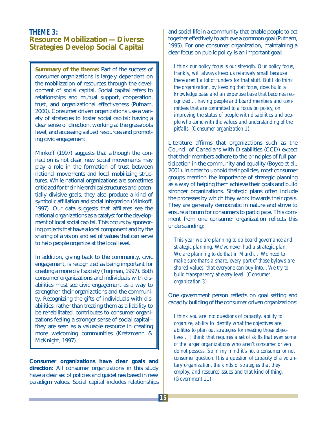#### **THEME 3: Resource Mobilization —Diverse Strategies Develop Social Capital**

**Summary of the theme:** Part of the success of consumer organizations is largely dependent on the mobilization of resources through the development of social capital. Social capital refers to relationships and mutual support, cooperation, trust, and organizational effectiveness (Putnam, 2000). Consumer driven organizations use a variety of strategies to foster social capital: having a clear sense of direction, working at the grassroots level, and accessing valued resources and promoting civic engagement.

Minkoff (1997) suggests that although the connection is not clear, new social movements may play a role in the formation of trust between national movements and local mobilizing structures. While national organizations are sometimes criticized for their hierarchical structures and potentially divisive goals, they also produce a kind of symbolic affiliation and social integration (Minkoff, 1997). Our data suggests that affiliates see the national organizations as a catalyst for the development of local social capital. This occurs by sponsoring projects that have a local component and by the sharing of a vision and set of values that can serve to help people organize at the local level.

In addition, giving back to the community, civic engagement, is recognized as being important for creating a more civil society (Torjman, 1997). Both consumer organizations and individuals with disabilities must see civic engagement as a way to strengthen their organizations and the community. Recognizing the gifts of individuals with disabilities, rather than treating them as a liability to be rehabilitated, contributes to consumer organizations feeling a stronger sense of social capital- they are seen as a valuable resource in creating more welcoming communities (Kretzmann & McKnight, 1997).

**Consumer organizations have clear goals and** direction: All consumer organizations in this study have a clear set of policies and guidelines based in new paradigm values. Social capital includes relationships

and social life in a community that enable people to act together effectively to achieve a common goal (Putnam, 1995). For one consumer organization, maintaining a clear focus on public policy is an important goal:

*I think our policy focus is our strength. Our policy focus, frankly, will always keep us relatively small because there aren't a lot of funders for that stuff. But I do think the organization, by keeping that focus, does build a knowledge base and an expertise base that becomes recognized.... having people and board members and committees that are committed to a focus on policy, on improving the status of people with disabilities and people who come with the values and understanding of the pitfalls. (Consumer organization 1)* 

Literature affirms that organizations such as the Council of Canadians with Disabilities (CCD) expect that their members adhere to the principles of full participation in the community and equality (Boyce et al., 2001). In order to uphold their policies, most consumer groups mention the importance of strategic planning as a way of helping them achieve their goals and build stronger organizations. Strategic plans often include the processes by which they work towards their goals. They are generally democratic in nature and strive to ensure a forum for consumers to participate. This comment from one consumer organization reflects this understanding:

*This year we are planning to do board governance and strategic planning. We've never had a strategic plan. We are planning to do that in March… We need to make sure that's a share, every part of those bylaws are shared values, that everyone can buy into…We try to build transparency at every level. (Consumer organization 3)* 

One government person reflects on goal setting and capacity building of the consumer driven organizations:

*I think you are into questions of capacity, ability to organize, ability to identify what the objectives are, abilities to plan out strategies for meeting those objectives… I think that requires a set of skills that even some of the larger organizations who aren't consumer driven do not possess. So in my mind it's not a consumer or not consumer question. It is a question of capacity of a voluntary organization, the kinds of strategies that they employ, and resource issues and that kind of thing. (Government 11)*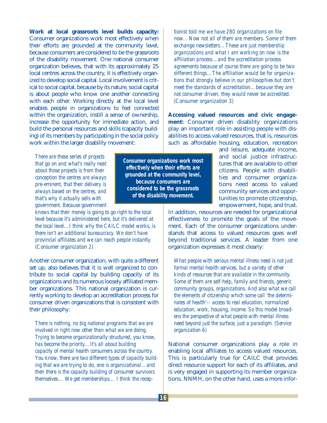**Work at local grassroots level builds capacity:** Consumer organizations work most effectively when their efforts are grounded at the community level, because consumers are considered to be the grassroots of the disability movement. One national consumer organization believes, that with its approximately 25 local centres across the country, it is effectively organized to develop social capital. Local involvement is critical to social capital, because by its nature, social capital is about people who know one another connecting with each other. Working directly at the local level enables people in organizations to feel connected within the organization, instill a sense of ownership, increase the opportunity for immediate action, and build the personal resources and skills (capacity building) of its members by participating in the social policy work within the larger disability movement:

*There are these series of projects that go on and what's really neat about those projects is from their conception the centres are always pre-eminent, that their delivery is always based on the centres, and that's why it actually sells with government. Because government*

*knows that their money is going to go right to the local level because it's administered here, but it's delivered at the local level…I think why the CAILC model works, is there isn't an additional bureaucracy. We don't have provincial affiliates and we can reach people instantly. (Consumer organization 2)*

Another consumer organization, with quite a different set up, also believes that it is well organized to contribute to social capital by building capacity of its organizations and its numerous loosely affiliated member organizations. This national organization is currently working to develop an accreditation process for consumer driven organizations that is consistent with their philosophy:

*There is nothing, no big national programs that we are involved in right now other than what we are doing. Trying to become organizationally structured, you know, has become the priority…It's all about building capacity of mental health consumers across the country. You know, there are two different types of capacity building that we are trying to do, one is organizational…and then there is the capacity building of consumer survivors themselves… We get memberships… I think the recep-* *tionist told me we have 280 organizations on file now... Now not all of them are members. Some of them exchange newsletters…These are just membership organizations and what I am working on now is the affiliation process…and the accreditation process agreements because of course there are going to be two different things…The affiliation would be for organizations that strongly believe in our philosophies but don't meet the standards of accreditation…because they are not consumer driven, they would never be accredited. (Consumer organization 3)*

**Accessing valued resources and civic engagement:** Consumer driven disability organizations play an important role in assisting people with disabilities to access valued resources, that is, resources such as affordable housing, education, recreation

> and leisure, adequate income, and social justice infrastructures that are available to other citizens. People with disabilities and consumer organizations need access to valued community services and opportunities to promote citizenship, empowerment, hope, and trust.

In addition, resources are needed for organizational effectiveness to promote the goals of the movement. Each of the consumer organizations understands that access to valued resources goes well beyond traditional services. A leader from one organization expresses it most clearly:

*What people with serious mental illness need is not just formal mental health services, but a variety of other kinds of resources that are available in the community. Some of them are self-help, family and friends, generic community groups, organizations. And also what we call the elements of citizenship which some call 'the determinates of health'-- access to real education, normalized education, work, housing, income. So this model broadens the perspective of what people with mental illness need beyond just the surface, just a paradigm. (Service organization 6)*

National consumer organizations play a role in enabling local affiliates to access valued resources. This is particularly true for CAILC that provides direct resource support for each of its affiliates, and is very engaged in supporting its member organizations. NNMH, on the other hand, uses a more infor-

**16**

**Consumer organizations work most effectively when their efforts are grounded at the community level, because consumers are considered to be the grassroots of the disability movement.**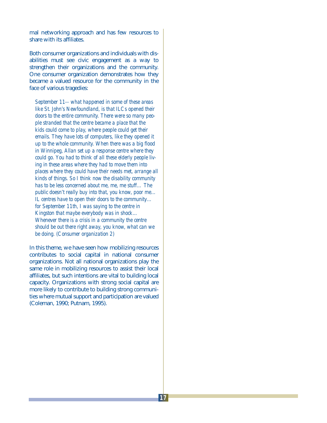mal networking approach and has few resources to share with its affiliates.

Both consumer organizations and individuals with disabilities must see civic engagement as a way to strengthen their organizations and the community. One consumer organization demonstrates how they became a valued resource for the community in the face of various tragedies:

*September 11-- what happened in some of these areas like St. John's Newfoundland, is that ILCs opened their doors to the entire community. There were so many people stranded that the centre became a place that the kids could come to play, where people could get their emails. They have lots of computers, like they opened it up to the whole community. When there was a big flood in Winnipeg, Allan set up a response centre where they could go. You had to think of all these elderly people living in these areas where they had to move them into places where they could have their needs met, arrange all kinds of things. So I think now the disability community has to be less concerned about me, me, me stuff… The public doesn't really buy into that, you know, poor me… IL centres have to open their doors to the community… for September 11th, I was saying to the centre in Kingston that maybe everybody was in shock… Whenever there is a crisis in a community the centre should be out there right away, you know, what can we be doing. (Consumer organization 2)*

In this theme, we have seen how mobilizing resources contributes to social capital in national consumer organizations. Not all national organizations play the same role in mobilizing resources to assist their local affiliates, but such intentions are vital to building local capacity. Organizations with strong social capital are more likely to contribute to building strong communities where mutual support and participation are valued (Coleman, 1990; Putnam, 1995).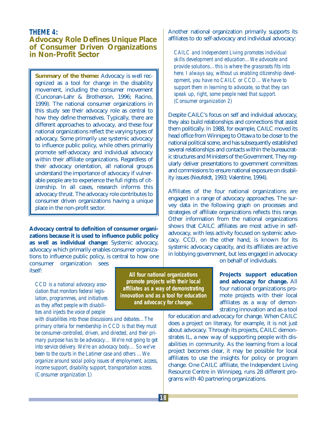#### **THEME 4:**

#### **Advocacy Role Defines Unique Place of Consumer Driven Organizations in Non-Profit Sector**

**Summary of the theme:** Advocacy is well recognized as a tool for change in the disability movement, including the consumer movement (Cunconan-Lahr & Brotherson, 1996; Racino, 1999). The national consumer organizations in this study see their advocacy role as central to how they define themselves. Typically, there are different approaches to advocacy, and these four national organizations reflect the varying types of advocacy. Some primarily use systemic advocacy to influence public policy, while others primarily promote self-advocacy and individual advocacy within their affiliate organizations. Regardless of their advocacy orientation, all national groups understand the importance of advocacy if vulnerable people are to experience the full rights of citizenship. In all cases, research informs this advocacy thrust. The advocacy role contributes to consumer driven organizations having a unique place in the non-profit sector.

**Advocacy central to definition of consumer organizations because it is used to influence public policy as well as individual change:** Systemic advocacy, advocacy which primarily enables consumer organizations to influence public policy, is central to how one

consumer organization sees itself:

*CCD is a national advocacy association that monitors federal legislation, programmes, and initiatives as they affect people with disabilities and injects the voice of people*

*with disabilities into those discussions and debates…The primary criteria for membership in CCD is that they must be consumer-controlled, driven, and directed, and their primary purpose has to be advocacy… We're not going to get into service delivery. We're an advocacy body… So we've been to the courts in the Latimer case and others …We organize around social policy issues of employment, access, income support, disability support, transportation access. (Consumer organization 1)*

**All four national organizations promote projects with their local affiliates as a way of demonstrating innovation and as a tool for education and advocacy for change.**

Another national organization primarily supports its affiliates to do self-advocacy and individual advocacy:

*CAILC and Independent Living promotes individual skills development and education…We advocate and provide solutions…this is where the grassroots fits into here. I always say, without us enabling citizenship development, you have no CAILC or CCD... We have to support them in learning to advocate, so that they can speak up, right, some people need that support. (Consumer organization 2)*

Despite CAILC's focus on self and individual advocacy, they also build relationships and connections that assist them politically. In 1988, for example, CAILC moved its head office from Winnipeg to Ottawa to be closer to the national political scene, and has subsequently established several relationships and contacts within the bureaucratic structures and Ministers of the Government. They regularly deliver presentations to government committees and commissions to ensure national exposure on disability issues (Neufeldt, 1993; Valentine, 1994).

Affiliates of the four national organizations are engaged in a range of advocacy approaches. The survey data in the following graph on processes and strategies of affiliate organizations reflects this range. Other information from the national organizations shows that CAILC affiliates are most active in selfadvocacy, with less activity focused on systemic advocacy. CCD, on the other hand, is known for its systemic advocacy capacity, and its affiliates are active in lobbying government, but less engaged in advocacy

on behalf of individuals.

**Projects support education and advocacy for change.** All four national organizations promote projects with their local affiliates as a way of demonstrating innovation and as a tool

for education and advocacy for change. When CAILC does a project on literacy, for example, it is not just about advocacy. Through its projects, CAILC demonstrates IL, a new way of supporting people with disabilities in community. As the learning from a local project becomes clear, it may be possible for local affiliates to use the insights for policy or program change. One CAILC affiliate, the Independent Living Resource Centre in Winnipeg, runs 28 different programs with 40 partnering organizations.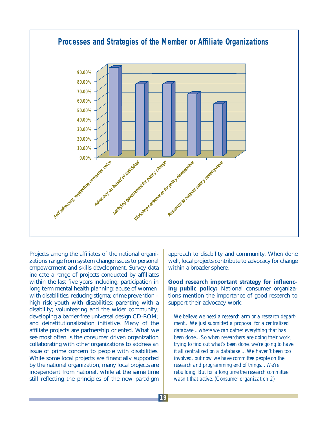

Projects among the affiliates of the national organizations range from system change issues to personal empowerment and skills development. Survey data indicate a range of projects conducted by affiliates within the last five years including: participation in long term mental health planning; abuse of women with disabilities; reducing stigma; crime prevention – high risk youth with disabilities; parenting with a disability; volunteering and the wider community; developing a barrier-free universal design CD-ROM; and deinstitutionalization initiative. Many of the affiliate projects are partnership oriented. What we see most often is the consumer driven organization collaborating with other organizations to address an issue of prime concern to people with disabilities. While some local projects are financially supported by the national organization, many local projects are independent from national, while at the same time still reflecting the principles of the new paradigm

approach to disability and community. When done well, local projects contribute to advocacy for change within a broader sphere.

**Good research important strategy for influencing public policy:** National consumer organizations mention the importance of good research to support their advocacy work:

*We believe we need a research arm or a research department…We just submitted a proposal for a centralized database…where we can gather everything that has been done…So when researchers are doing their work, trying to find out what's been done, we're going to have it all centralized on a database …We haven't been too involved, but now we have committee people on the research and programming end of things…We're rebuilding. But for a long time the research committee wasn't that active. (Consumer organization 2)*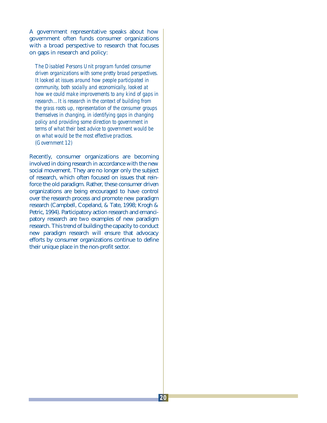A government representative speaks about how government often funds consumer organizations with a broad perspective to research that focuses on gaps in research and policy:

*The Disabled Persons Unit program funded consumer driven organizations with some pretty broad perspectives. It looked at issues around how people participated in community, both socially and economically, looked at how we could make improvements to any kind of gaps in research…It is research in the context of building from the grass roots up, representation of the consumer groups themselves in changing, in identifying gaps in changing policy and providing some direction to government in terms of what their best advice to government would be on what would be the most effective practices. (Government 12)*

Recently, consumer organizations are becoming involved in doing research in accordance with the new social movement. They are no longer only the subject of research, which often focused on issues that reinforce the old paradigm. Rather, these consumer driven organizations are being encouraged to have control over the research process and promote new paradigm research (Campbell, Copeland, & Tate, 1998; Krogh & Petric, 1994). Participatory action research and emancipatory research are two examples of new paradigm research. This trend of building the capacity to conduct new paradigm research will ensure that advocacy efforts by consumer organizations continue to define their unique place in the non-profit sector.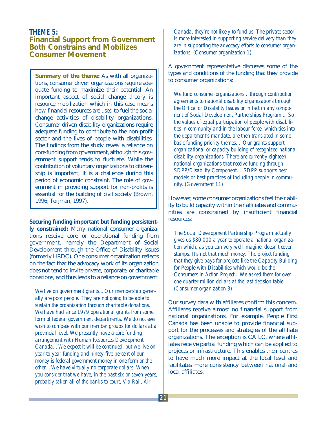#### **THEME 5: Financial Support from Government Both Constrains and Mobilizes Consumer Movement**

**Summary of the theme:** As with all organizations, consumer driven organizations require adequate funding to maximize their potential. An important aspect of social change theory is resource mobilization which in this case means how financial resources are used to fuel the social change activities of disability organizations. Consumer driven disability organizations require adequate funding to contribute to the non-profit sector and the lives of people with disabilities. The findings from the study reveal a reliance on core funding from government, although this government support tends to fluctuate. While the contribution of voluntary organizations to citizenship is important, it is a challenge during this period of economic constraint. The role of government in providing support for non-profits is essential for the building of civil society (Brown, 1996; Torjman, 1997).

**Securing funding important but funding persistently constrained:** Many national consumer organizations receive core or operational funding from government, namely the Department of Social Development through the Office of Disability Issues (formerly HRDC). One consumer organization reflects on the fact that the advocacy work of its organization does not tend to invite private, corporate, or charitable donations, and thus leads to a reliance on government:

*We live on government grants…Our membership generally are poor people. They are not going to be able to sustain the organization through charitable donations. We have had since 1979 operational grants from some form of federal government departments. We do not ever wish to compete with our member groups for dollars at a provincial level. We presently have a core funding arrangement with Human Resources Development Canada…We expect it will be continued, but we live on year-to-year funding and ninety-five percent of our money is federal government money in one form or the other…We have virtually no corporate dollars. When you consider that we have, in the past six or seven years, probably taken all of the banks to court, Via Rail, Air*

*Canada, they're not likely to fund us. The private sector is more interested in supporting service delivery than they are in supporting the advocacy efforts to consumer organizations. (Consumer organization 1)*

A government representative discusses some of the types and conditions of the funding that they provide to consumer organizations:

*We fund consumer organizations…through contribution agreements to national disability organizations through the Office for Disability Issues or in fact in any component of Social Development Partnerships Program… So the values of equal participation of people with disabilities in community and in the labour force, which ties into the department's mandate, are then translated in some basic funding priority themes… Our grants support organizational or capacity building of recognized national disability organizations. There are currently eighteen national organizations that receive funding through SDPP/Disability Component… SDPP supports best models or best practices of including people in community. (Government 11)*

However, some consumer organizations feel their ability to build capacity within their affiliates and communities are constrained by insufficient financial resources:

*The Social Development Partnership Program actually gives us \$80,000 a year to operate a national organization which, as you can very well imagine, doesn't cover stamps. It's not that much money. The project funding that they give pays for projects like the Capacity Building for People with Disabilities which would be the Consumers in Action Project…We asked them for over one quarter million dollars at the last decision table. (Consumer organization 3)*

Our survey data with affiliates confirm this concern. Affiliates receive almost no financial support from national organizations. For example, People First Canada has been unable to provide financial support for the processes and strategies of the affiliate organizations. The exception is CAILC, where affiliates receive partial funding which can be applied to projects or infrastructure. This enables their centres to have much more impact at the local level and facilitates more consistency between national and local affiliates.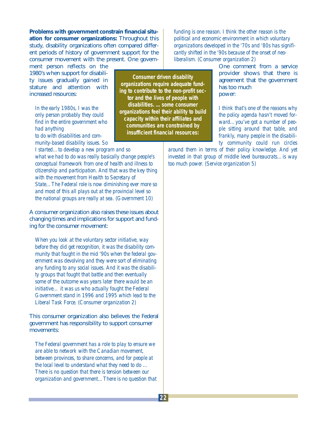**Problems with government constrain financial situation for consumer organizations:** Throughout this study, disability organizations often compared different periods of history of government support for the consumer movement with the present. One govern-

ment person reflects on the 1980's when support for disability issues gradually gained in stature and attention with increased resources:

*In the early 1980s, I was the only person probably they could find in the entire government who had anything to do with disabilities and community-based disability issues. So*

**Consumer driven disability organizations require adequate funding to contribute to the non-profit sector and the lives of people with disabilities. …some consumer organizations feel their ability to build capacity within their affiliates and communities are constrained by insufficient financial resources:**

*I started…to develop a new program and so what we had to do was really basically change people's conceptual framework from one of health and illness to citizenship and participation. And that was the key thing with the movement from Health to Secretary of State…The Federal role is now diminishing ever more so and most of this all plays out at the provincial level so the national groups are really at sea. (Government 10)*

A consumer organization also raises these issues about changing times and implications for support and funding for the consumer movement:

*When you look at the voluntary sector initiative, way before they did get recognition, it was the disability community that fought in the mid '90s when the federal government was devolving and they were sort of eliminating any funding to any social issues. And it was the disability groups that fought that battle and then eventually some of the outcome was years later there would be an initiative… it was us who actually fought the Federal Government stand in 1996 and 1995 which lead to the Liberal Task Force. (Consumer organization 2)*

This consumer organization also believes the Federal government has responsibility to support consumer movements:

*The Federal government has a role to play to ensure we are able to network with the Canadian movement, between provinces, to share concerns, and for people at the local level to understand what they need to do … There is no question that there is tension between our organization and government…There is no question that*

*funding is one reason. I think the other reason is the political and economic environment in which voluntary organizations developed in the '70s and '80s has significantly shifted in the '90s because of the onset of neoliberalism. (Consumer organization 2)*

> One comment from a service provider shows that there is agreement that the government has too much power:

> *I think that's one of the reasons why the policy agenda hasn't moved forward…you've got a number of people sitting around that table, and frankly, many people in the disability community could run circles*

*around them in terms of their policy knowledge. And yet invested in that group of middle level bureaucrats…is way too much power. (Service organization 5)*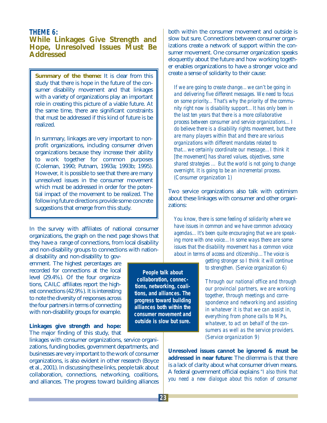#### **THEME 6:**

#### **While Linkages Give Strength and Hope, Unresolved Issues Must Be Addressed**

**Summary of the theme:** It is clear from this study that there is hope in the future of the consumer disability movement and that linkages with a variety of organizations play an important role in creating this picture of a viable future. At the same time, there are significant constraints that must be addressed if this kind of future is be realized.

In summary, linkages are very important to nonprofit organizations, including consumer driven organizations because they increase their ability to work together for common purposes (Coleman, 1990; Putnam, 1993a; 1993b; 1995). However, it is possible to see that there are many unresolved issues in the consumer movement which must be addressed in order for the potential impact of the movement to be realized. The following future directions provide some concrete suggestions that emerge from this study.

In the survey with affiliates of national consumer organizations, the graph on the next page shows that they have a range of connections, from local disability and non-disability groups to connections with nation-

al disability and non-disability to government. The highest percentages are recorded for connections at the local level (29.4%). Of the four organizations, CAILC affiliates report the highest connections (42.9%). It is interesting to note the diversity of responses across the four partners in terms of connecting with non-disability groups for example.

#### **Linkages give strength and hope:** The major finding of this study, that

linkages with consumer organizations, service organizations, funding bodies, government departments, and businesses are very important to the work of consumer organizations, is also evident in other research (Boyce et al., 2001). In discussing these links, people talk about collaboration, connections, networking, coalitions, and alliances. The progress toward building alliances

both within the consumer movement and outside is slow but sure. Connections between consumer organizations create a network of support within the consumer movement. One consumer organization speaks eloquently about the future and how working together enables organizations to have a stronger voice and create a sense of solidarity to their cause:

*If we are going to create change…we can't be going in and delivering five different messages. We need to focus on some priority... That's why the priority of the community right now is disability support…It has only been in the last ten years that there is a more collaborative process between consumer and service organizations... I do believe there is a disability rights movement, but there are many players within that and there are various organizations with different mandates related to that…we certainly coordinate our message…I think it [the movement] has shared values, objectives, some shared strategies … But the world is not going to change overnight. It is going to be an incremental process. (Consumer organization 1)*

Two service organizations also talk with optimism about these linkages with consumer and other organizations:

*You know, there is some feeling of solidarity where we have issues in common and we have common advocacy agendas... It's been quite encouraging that we are speaking more with one voice…In some ways there are some issues that the disability movement has a common voice about in terms of access and citizenship…The voice is*

> *getting stronger so I think it will continue to strengthen. (Service organization 6)*

*Through our national office and through our provincial partners, we are working together, through meetings and correspondence and networking and assisting in whatever it is that we can assist in, everything from phone calls to MPs, whatever, to act on behalf of the consumers as well as the service providers. (Service organization 9)*

**Unresolved issues cannot be ignored & must be addressed in near future:** The dilemma is that there is a lack of clarity about what consumer driven means. A federal government official explains *"I also think that you need a new dialogue about this notion of consumer* 

**People talk about collaboration, connections, networking, coalitions, and alliances. The progress toward building alliances both within the consumer movement and outside is slow but sure.**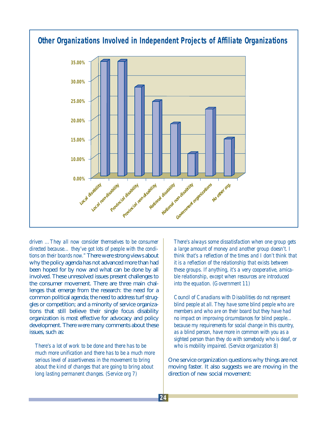

*driven …They all now consider themselves to be consumer directed because… they've got lots of people with the conditions on their boards now."* There were strong views about why the policy agenda has not advanced more than had been hoped for by now and what can be done by all involved. These unresolved issues present challenges to the consumer movement. There are three main challenges that emerge from the research: the need for a common political agenda; the need to address turf struggles or competition; and a minority of service organizations that still believe their single focus disability organization is most effective for advocacy and policy development. There were many comments about these issues, such as:

*There's a lot of work to be done and there has to be much more unification and there has to be a much more serious level of assertiveness in the movement to bring about the kind of changes that are going to bring about long lasting permanent changes. (Service org 7)*

*There's always some dissatisfaction when one group gets a large amount of money and another group doesn't. I think that's a reflection of the times and I don't think that it is a reflection of the relationship that exists between these groups. If anything, it's a very cooperative, amicable relationship, except when resources are introduced into the equation. (Government 11)*

*Council of Canadians with Disabilities do not represent blind people at all. They have some blind people who are members and who are on their board but they have had no impact on improving circumstances for blind people… because my requirements for social change in this country, as a blind person, have more in common with you as a sighted person than they do with somebody who is deaf, or who is mobility impaired. (Service organization 8)*

One service organization questions why things are not moving faster. It also suggests we are moving in the direction of new social movement: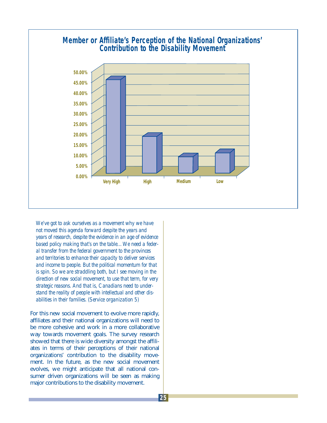

*We've got to ask ourselves as a movement why we have not moved this agenda forward despite the years and years of research, despite the evidence in an age of evidence based policy making that's on the table…We need a federal transfer from the federal government to the provinces and territories to enhance their capacity to deliver services and income to people. But the political momentum for that is spin. So we are straddling both, but I see moving in the direction of new social movement, to use that term, for very strategic reasons. And that is, Canadians need to understand the reality of people with intellectual and other disabilities in their families. (Service organization 5)*

For this new social movement to evolve more rapidly, affiliates and their national organizations will need to be more cohesive and work in a more collaborative way towards movement goals. The survey research showed that there is wide diversity amongst the affiliates in terms of their perceptions of their national organizations' contribution to the disability movement. In the future, as the new social movement evolves, we might anticipate that all national consumer driven organizations will be seen as making major contributions to the disability movement.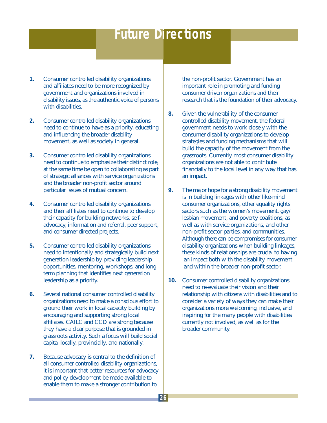## **Future Directions**

- **1.** Consumer controlled disability organizations and affiliates need to be more recognized by government and organizations involved in disability issues, as the authentic voice of persons with disabilities.
- **2.** Consumer controlled disability organizations need to continue to have as a priority, educating and influencing the broader disability movement, as well as society in general.
- **3.** Consumer controlled disability organizations need to continue to emphasize their distinct role, at the same time be open to collaborating as part of strategic alliances with service organizations and the broader non-profit sector around particular issues of mutual concern.
- **4.** Consumer controlled disability organizations and their affiliates need to continue to develop their capacity for building networks, selfadvocacy, information and referral, peer support, and consumer directed projects.
- **5.** Consumer controlled disability organizations need to intentionally and strategically build next generation leadership by providing leadership opportunities, mentoring, workshops, and long term planning that identifies next generation leadership as a priority.
- **6.** Several national consumer controlled disability organizations need to make a conscious effort to ground their work in local capacity building by encouraging and supporting strong local affiliates. CAILC and CCD are strong because they have a clear purpose that is grounded in grassroots activity. Such a focus will build social capital locally, provincially, and nationally.
- **7.** Because advocacy is central to the definition of all consumer controlled disability organizations, it is important that better resources for advocacy and policy development be made available to enable them to make a stronger contribution to

the non-profit sector. Government has an important role in promoting and funding consumer driven organizations and their research that is the foundation of their advocacy.

- **8.** Given the vulnerability of the consumer controlled disability movement, the federal government needs to work closely with the consumer disability organizations to develop strategies and funding mechanisms that will build the capacity of the movement from the grassroots. Currently most consumer disability organizations are not able to contribute financially to the local level in any way that has an impact.
- **9.** The major hope for a strong disability movement is in building linkages with other like-mind consumer organizations, other equality rights sectors such as the women's movement, gay/ lesbian movement, and poverty coalitions, as well as with service organizations, and other non-profit sector parties, and communities. Although there can be compromises for consumer disability organizations when building linkages, these kinds of relationships are crucial to having an impact both with the disability movement and within the broader non-profit sector.
- **10.** Consumer controlled disability organizations need to re-evaluate their vision and their relationship with citizens with disabilities and to consider a variety of ways they can make their organizations more welcoming, inclusive, and inspiring for the many people with disabilities currently not involved, as well as for the broader community.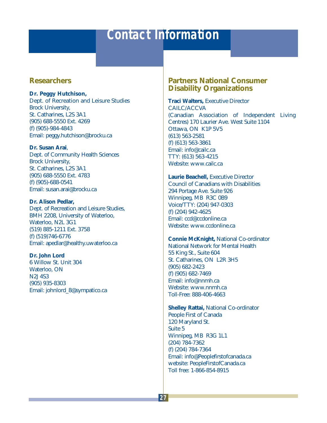## **Contact Information**

#### **Researchers**

**Dr. Peggy Hutchison,** 

Dept. of Recreation and Leisure Studies Brock University, St. Catharines, L2S 3A1 (905) 688-5550 Ext. 4269 (f) (905)-984-4843 Email: peggy.hutchison@brocku.ca

#### **Dr. Susan Arai**,

Dept. of Community Health Sciences Brock University, St. Catharines, L2S 3A1 (905) 688-5550 Ext. 4783 (f) (905)-688-0541 Email: susan.arai@brocku.ca

#### **Dr. Alison Pedlar,**

Dept. of Recreation and Leisure Studies, BMH 2208, University of Waterloo, Waterloo, N2L 3G1 (519) 885-1211 Ext. 3758 (f) (519)746-6776 Email: apedlar@healthy.uwaterloo.ca

#### **Dr. John Lord**

6 Willow St. Unit 304 Waterloo, ON N2J 4S3 (905) 935-8303 Email: johnlord\_8@sympatico.ca

#### **Partners National Consumer Disability Organizations**

**Traci Walters,** Executive Director CAILC/ACCVA (Canadian Association of Independent Living Centres) 170 Laurier Ave. West Suite 1104 Ottawa, ON K1P 5V5 (613) 563-2581 (f) (613) 563-3861 Email: info@cailc.ca TTY: (613) 563-4215 Website: www.cailc.ca

**Laurie Beachell,** Executive Director Council of Canadians with Disabilities 294 Portage Ave. Suite 926 Winnipeg, MB R3C 0B9 Voice/TTY: (204) 947-0303 (f) (204) 942-4625 Email: ccd@ccdonline.ca Website: www.ccdonline.ca

**Connie McKnight,** National Co-ordinator National Network for Mental Health 55 King St., Suite 604 St. Catharines, ON L2R 3H5 (905) 682-2423 (f) (905) 682-7469 Email: info@nnmh.ca Website: www.nnmh.ca Toll-Free: 888-406-4663

**Shelley Rattai,** National Co-ordinator People First of Canada 120 Maryland St. Suite 5 Winnipeg, MB R3G 1L1 (204) 784-7362 (f) (204) 784-7364 Email: info@Peoplefirstofcanada.ca website: PeopleFirstofCanada.ca Toll free: 1-866-854-8915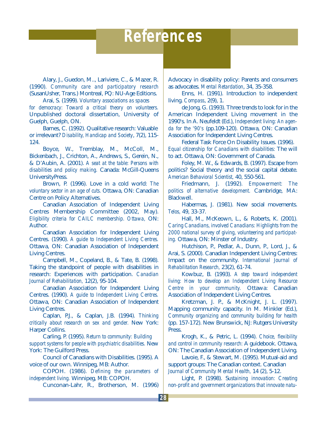## **References**

Alary, J., Guedon, M.., Lariviere, C., & Mazer, R. (1990). *Community care and participatory research* (SusanUsher, Trans.) Montreal, PQ: NU-Age Editions.

Arai, S. (1999). *Voluntary associations as spaces for democracy: Toward a critical theory on volunteers.* Unpublished doctoral dissertation, University of Guelph, Guelph, ON.

Barnes, C. (1992). Qualitative research: Valuable or irrelevant? *Disability, Handicap and Society*, 7(2), 115- 124.

Boyce, W., Tremblay, M., McColl, M., Bickenbach, J., Crichton, A., Andrews, S., Gerein, N., & D'Aubin, A. (2001). *A seat at the table: Persons with disabilities and policy making.* Canada: McGill-Queens UniversityPress.

Brown, P. (1996). Love in a cold world: *The voluntary sector in an age of cuts.* Ottawa, ON: Canadian Centre on Policy Alternatives.

Canadian Association of Independent Living Centres Membership Committee (2002, May). *Eligibility criteria for CAILC membership. Ottawa,* ON: Author.

Canadian Association for Independent Living Centres. (1990). *A guide to Independent Living Centres.* Ottawa, ON: Canadian Association of Independent Living Centres.

Campbell, M., Copeland, B., & Tate, B. (1998). Taking the standpoint of people with disabilities in research: Experiences with participation. *Canadian Journal of Rehabilitation,* 12(2), 95-104.

Canadian Association for Independent Living Centres. (1990). *A guide to Independent Living Centres.* Ottawa, ON: Canadian Association of Independent Living Centres.

Caplan, P.J., & Caplan, J.B. (1994). *Thinking critically about research on sex and gender.* New York: Harper Collins.

Carling, P. (1995). *Return to community: Building support systems for people with psychiatric disabilities.* New York: The Guilford Press.

Council of Canadians with Disabilities. (1995). A voice of our own. Winnipeg, MB: Author.

COPOH. (1986). *Defining the parameters of independent living.* Winnipeg, MB: COPOH.

Cunconan-Lahr, R., Brotherson, M. (1996)

Advocacy in disability policy: Parents and consumers as advocates. *Mental Retardation*, 34, 35-358.

Enns, H. (1991). Introduction to independent living. *Compass*, 2(9), 1.

de Jong, G. (1993). Three trends to look for in the American Independent Living movement in the 1990's. In A. Neufeldt (Ed.), *Independent living: An agenda for the '90's* (pp.109-120). Ottawa, ON: Canadian Association for Independent Living Centres.

Federal Task Force On Disability Issues. (1996). *Equal citizenship for Canadians with disabilities:* The will to act. Ottawa, ON: Government of Canada.

Foley, M. W., & Edwards, B. (1997). Escape from politics? Social theory and the social capital debate. *American Behavioral Scientist,* 40, 550-561.

Friedmann, J. (1992). *Empowerment: The politics of alternative development.* Cambridge, MA: Blackwell.

Habermas, J. (1981). New social movements. *Telos,* 49, 33-37.

Hall, M., McKeown, L., & Roberts, K. (2001). *Caring Canadians, involved Canadians: Highlights from the 2000 national survey of giving, volunteering and participating.* Ottawa, ON: Minster of Industry.

Hutchison, P., Pedlar, A., Dunn, P., Lord, J., & Arai, S. (2000). Canadian Independent Living Centres: Impact on the community. *International Journal of Rehabilitation Research,* 23(2), 61-74.

Kowbuz, B. (1993). *A step toward independent living: How to develop an Independent Living Resource Centre in your community.* Ottawa: Canadian Association of Independent Living Centres.

Kretzman, J. P., & McKnight, J. L. (1997). Mapping community capacity. In M. Minkler (Ed.), *Community organizing and community building for health* (pp. 157-172). New Brunswick, NJ: Rutgers University Press.

Krogh, K., & Petric, L. (1994). *Choice, flexibility and control in community research:* A guidebook. Ottawa, ON: The Canadian Association of Independent Living.

Lavoie, F., & Stewart, M. (1995). Mutual-aid and support groups: The Canadian context. Canadian *Journal of Community Mental Health,* 14 (2), 5-12.

Light, P. (1998). S*ustaining innovation: Creating non-profit and government organizations that innovate natu-*